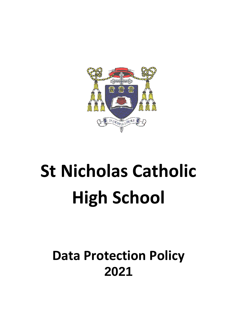

# **St Nicholas Catholic High School**

# **Data Protection Policy 2021**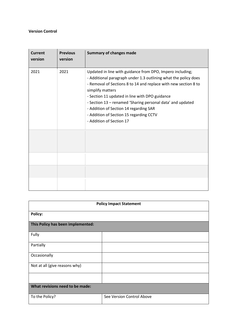#### **Version Control**

| <b>Current</b><br>version | <b>Previous</b><br>version | <b>Summary of changes made</b>                                                                                                                                                                                                                                                                                                                                                                                                                       |
|---------------------------|----------------------------|------------------------------------------------------------------------------------------------------------------------------------------------------------------------------------------------------------------------------------------------------------------------------------------------------------------------------------------------------------------------------------------------------------------------------------------------------|
| 2021                      | 2021                       | Updated in line with guidance from DPO, Impero including;<br>- Additional paragraph under 1.3 outlining what the policy does<br>- Removal of Sections 8 to 14 and replace with new section 8 to<br>simplify matters<br>- Section 11 updated in line with DPO guidance<br>- Section 13 - renamed 'Sharing personal data' and updated<br>- Addition of Section 14 regarding SAR<br>- Addition of Section 15 regarding CCTV<br>- Addition of Section 17 |
|                           |                            |                                                                                                                                                                                                                                                                                                                                                                                                                                                      |
|                           |                            |                                                                                                                                                                                                                                                                                                                                                                                                                                                      |
|                           |                            |                                                                                                                                                                                                                                                                                                                                                                                                                                                      |
|                           |                            |                                                                                                                                                                                                                                                                                                                                                                                                                                                      |

| <b>Policy Impact Statement</b>    |                           |  |  |  |  |
|-----------------------------------|---------------------------|--|--|--|--|
| Policy:                           |                           |  |  |  |  |
| This Policy has been implemented: |                           |  |  |  |  |
| Fully                             |                           |  |  |  |  |
| Partially                         |                           |  |  |  |  |
| Occasionally                      |                           |  |  |  |  |
| Not at all (give reasons why)     |                           |  |  |  |  |
|                                   |                           |  |  |  |  |
| What revisions need to be made:   |                           |  |  |  |  |
| To the Policy?                    | See Version Control Above |  |  |  |  |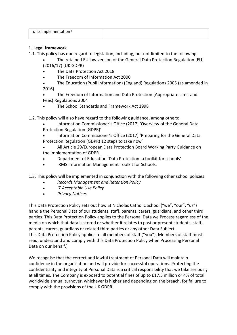| To its implementation? |  |
|------------------------|--|
|                        |  |

#### **1. Legal framework**

- 1.1. This policy has due regard to legislation, including, but not limited to the following:
	- The retained EU law version of the General Data Protection Regulation (EU) (2016/17) (UK GDPR)
	- The Data Protection Act 2018
	- The Freedom of Information Act 2000
	- The Education (Pupil Information) (England) Regulations 2005 (as amended in 2016)
	- The Freedom of Information and Data Protection (Appropriate Limit and Fees) Regulations 2004
	- The School Standards and Framework Act 1998
- 1.2. This policy will also have regard to the following guidance, among others:
	- Information Commissioner's Office (2017) 'Overview of the General Data Protection Regulation (GDPR)'
	- Information Commissioner's Office (2017) 'Preparing for the General Data Protection Regulation (GDPR) 12 steps to take now'
	- All Article 29/European Data Protection Board Working Party Guidance on the implementation of GDPR
	- Department of Education 'Data Protection: a toolkit for schools'
	- IRMS Information Management Toolkit for Schools.
- 1.3. This policy will be implemented in conjunction with the following other school policies:
	- *Records Management and Retention Policy*
	- *IT Acceptable Use Policy*
	- *Privacy Notices*

This Data Protection Policy sets out how St Nicholas Catholic School ("we", "our", "us") handle the Personal Data of our students, staff, parents, carers, guardians, and other third parties. This Data Protection Policy applies to the Personal Data we Process regardless of the media on which that data is stored or whether it relates to past or present students, staff, parents, carers, guardians or related third parties or any other Data Subject. This Data Protection Policy applies to all members of staff ("you"). Members of staff must read, understand and comply with this Data Protection Policy when Processing Personal Data on our behalf.]

We recognise that the correct and lawful treatment of Personal Data will maintain confidence in the organisation and will provide for successful operations. Protecting the confidentiality and integrity of Personal Data is a critical responsibility that we take seriously at all times. The Company is exposed to potential fines of up to £17.5 million or 4% of total worldwide annual turnover, whichever is higher and depending on the breach, for failure to comply with the provisions of the UK GDPR.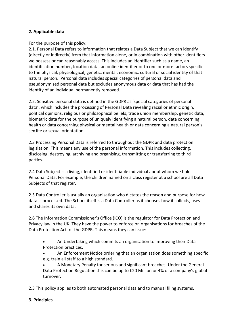# **2. Applicable data**

For the purpose of this policy:

2.1. Personal Data refers to information that relates a Data Subject that we can identify (directly or indirectly) from that information alone, or in combination with other identifiers we possess or can reasonably access. This includes an identifier such as a name, an identification number, location data, an online identifier or to one or more factors specific to the physical, physiological, genetic, mental, economic, cultural or social identity of that natural person. Personal data includes special categories of personal data and pseudonymised personal data but excludes anonymous data or data that has had the identity of an individual permanently removed.

2.2. Sensitive personal data is defined in the GDPR as 'special categories of personal data', which includes the processing of Personal Data revealing racial or ethnic origin, political opinions, religious or philosophical beliefs, trade union membership, genetic data, biometric data for the purpose of uniquely identifying a natural person, data concerning health or data concerning physical or mental health or data concerning a natural person's sex life or sexual orientation.

2.3 Processing Personal Data is referred to throughout the GDPR and data protection legislation. This means any use of the personal information. This includes collecting, disclosing, destroying, archiving and organising, transmitting or transferring to third parties.

2.4 Data Subject is a living, identified or identifiable individual about whom we hold Personal Data. For example, the children named on a class register at a school are all Data Subjects of that register.

2.5 Data Controller is usually an organisation who dictates the reason and purpose for how data is processed. The School itself is a Data Controller as it chooses how it collects, uses and shares its own data.

2.6 The Information Commissioner's Office (ICO) is the regulator for Data Protection and Privacy law in the UK. They have the power to enforce on organisations for breaches of the Data Protection Act or the GDPR. This means they can issue: -

• An Undertaking which commits an organisation to improving their Data Protection practices.

• An Enforcement Notice ordering that an organisation does something specific e.g. train all staff to a high standard.

• A Monetary Penalty for serious and significant breaches. Under the General Data Protection Regulation this can be up to €20 Million or 4% of a company's global turnover.

2.3 This policy applies to both automated personal data and to manual filing systems.

#### **3. Principles**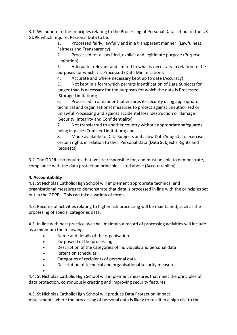3.1. We adhere to the principles relating to the Processing of Personal Data set out in the UK GDPR which require, Personal Data to be:

> 1. Processed fairly, lawfully and in a transparent manner (Lawfulness, Fairness and Transparency);

2. Processed for a specified, explicit and legitimate purpose (Purpose Limitation);

3. Adequate, relevant and limited to what is necessary in relation to the purposes for which it is Processed (Data Minimisation);

4. Accurate and where necessary kept up to date (Accuracy);

5. Not kept in a form which permits identification of Data Subjects for longer than is necessary for the purposes for which the data is Processed (Storage Limitation);

6. Processed in a manner that ensures its security using appropriate technical and organisational measures to protect against unauthorised or unlawful Processing and against accidental loss, destruction or damage (Security, Integrity and Confidentiality);

7. Not transferred to another country without appropriate safeguards being in place (Transfer Limitation); and

8. Made available to Data Subjects and allow Data Subjects to exercise certain rights in relation to their Personal Data (Data Subject's Rights and Requests).

3.2. The GDPR also requires that we are responsible for, and must be able to demonstrate, compliance with the data protection principles listed above (Accountability).

# **4. Accountability**

4.1. St Nicholas Catholic High School will implement appropriate technical and organisational measures to demonstrate that data is processed in line with the principles set out in the GDPR. This can take a variety of forms.

4.2. Records of activities relating to higher risk processing will be maintained, such as the processing of special categories data.

4.3. In line with best practice, we shall maintain a record of processing activities will include as a minimum the following:

- Name and details of the organisation
- Purpose(s) of the processing
- Description of the categories of individuals and personal data
- Retention schedules
- Categories of recipients of personal data
- Description of technical and organisational security measures
- •

4.4. St Nicholas Catholic High School will implement measures that meet the principles of data protection, continuously creating and improving security features.

4.5. St Nicholas Catholic High School will produce Data Protection Impact Assessments where the processing of personal data is likely to result in a high risk to the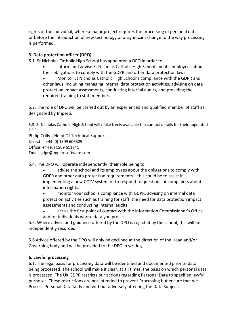rights of the individual, where a major project requires the processing of personal data or before the introduction of new technology or a significant change to the way processing is performed.

#### 5. **Data protection officer (DPO)**

- 5.1. St Nicholas Catholic High School has appointed a DPO in order to:
	- Inform and advise St Nicholas Catholic High School and its employees about their obligations to comply with the GDPR and other data protection laws.

• Monitor St Nicholas Catholic High School's compliance with the GDPR and other laws, including managing internal data protection activities, advising on data protection impact assessments, conducting internal audits, and providing the required training to staff members.

5.2. The role of DPO will be carried out by an experienced and qualified member of staff as designated by Impero.

5.3. St Nicholas Catholic High School will make freely available the contact details for their appointed DPO:

Philip Crilly | Head Of Technical Support. Direct: +44 (0) 1509 606529 Office: +44 (0) 1509 611341 Email: gdpr@imperosoftware.com

5.4. The DPO will operate independently, their role being to:

advise the school and its employees about the obligations to comply with GDPR and other data protection requirements – this could be to assist in implementing a new CCTV system or to respond to questions or complaints about information rights.

• monitor your school's compliance with GDPR, advising on internal data protection activities such as training for staff, the need for data protection impact assessments and conducting internal audits.

act as the first point of contact with the Information Commissioner's Office and for individuals whose data you process.

5.5. Where advice and guidance offered by the DPO is rejected by the school, this will be independently recorded.

5.6 Advice offered by the DPO will only be declined at the direction of the Head and/or Governing body and will be provided to the DPO in writing.

# **6. Lawful processing**

6.1. The legal basis for processing data will be identified and documented prior to data being processed. The school will make it clear, at all times, the basis on which personal data is processed. The UK GDPR restricts our actions regarding Personal Data to specified lawful purposes. These restrictions are not intended to prevent Processing but ensure that we Process Personal Data fairly and without adversely affecting the Data Subject.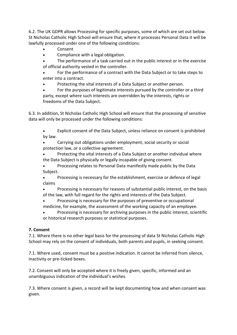6.2. The UK GDPR allows Processing for specific purposes, some of which are set out below. St Nicholas Catholic High School will ensure that, where it processes Personal Data it will be lawfully processed under one of the following conditions:

- Consent
- Compliance with a legal obligation.
- The performance of a task carried out in the public interest or in the exercise of official authority vested in the controller.
- For the performance of a contract with the Data Subject or to take steps to enter into a contract.
- Protecting the vital interests of a Data Subject or another person.
- For the purposes of legitimate interests pursued by the controller or a third party, except where such interests are overridden by the interests, rights or freedoms of the Data Subject.

6.3. In addition, St Nicholas Catholic High School will ensure that the processing of sensitive data will only be processed under the following conditions:

- Explicit consent of the Data Subject, unless reliance on consent is prohibited by law.
- Carrying out obligations under employment, social security or social protection law, or a collective agreement.
- Protecting the vital interests of a Data Subject or another individual where the Data Subject is physically or legally incapable of giving consent.
- Processing relates to Personal Data manifestly made public by the Data Subject.
- Processing is necessary for the establishment, exercise or defence of legal claims
- Processing is necessary for reasons of substantial public interest, on the basis of the law, with full regard for the rights and interests of the Data Subject.
- Processing is necessary for the purposes of preventive or occupational medicine, for example, the assessment of the working capacity of an employee.
- Processing is necessary for archiving purposes in the public interest, scientific or historical research purposes or statistical purposes.

# **7. Consent**

7.1. Where there is no other legal basis for the processing of data St Nicholas Catholic High School may rely on the consent of individuals, both parents and pupils, in seeking consent.

7.1. Where used, consent must be a positive indication. It cannot be inferred from silence, inactivity or pre-ticked boxes.

7.2. Consent will only be accepted where it is freely given, specific, informed and an unambiguous indication of the individual's wishes.

7.3. Where consent is given, a record will be kept documenting how and when consent was given.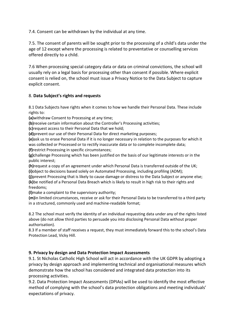7.4. Consent can be withdrawn by the individual at any time.

7.5. The consent of parents will be sought prior to the processing of a child's data under the age of 12 except where the processing is related to preventative or counselling services offered directly to a child.

7.6 When processing special category data or data on criminal convictions, the school will usually rely on a legal basis for processing other than consent if possible. Where explicit consent is relied on, the school must issue a Privacy Notice to the Data Subject to capture explicit consent.

#### 8. **Data Subject's rights and requests**

8.1 Data Subjects have rights when it comes to how we handle their Personal Data. These include rights to:

**(a)**withdraw Consent to Processing at any time;

**(b)**receive certain information about the Controller's Processing activities;

**(c)**request access to their Personal Data that we hold;

**(d)**prevent our use of their Personal Data for direct marketing purposes;

**(e)**ask us to erase Personal Data if it is no longer necessary in relation to the purposes for which it was collected or Processed or to rectify inaccurate data or to complete incomplete data;

**(f)**restrict Processing in specific circumstances;

**(g)**challenge Processing which has been justified on the basis of our legitimate interests or in the public interest;

**(h)**request a copy of an agreement under which Personal Data is transferred outside of the UK; **(i)**object to decisions based solely on Automated Processing, including profiling (ADM);

**(j)**prevent Processing that is likely to cause damage or distress to the Data Subject or anyone else; **(k)**be notified of a Personal Data Breach which is likely to result in high risk to their rights and freedoms;

**(l)**make a complaint to the supervisory authority;

**(m)**in limited circumstances, receive or ask for their Personal Data to be transferred to a third party in a structured, commonly used and machine-readable format;

8.2 The school must verify the identity of an individual requesting data under any of the rights listed above (do not allow third parties to persuade you into disclosing Personal Data without proper authorisation).

8.3 If a member of staff receives a request, they must immediately forward this to the school's Data Protection Lead, Vicky Hill.

#### **9. Privacy by design and Data Protection Impact Assessments**

9.1. St Nicholas Catholic High School will act in accordance with the UK GDPR by adopting a privacy by design approach and implementing technical and organisational measures which demonstrate how the school has considered and integrated data protection into its processing activities.

9.2. Data Protection Impact Assessments (DPIAs) will be used to identify the most effective method of complying with the school's data protection obligations and meeting individuals' expectations of privacy.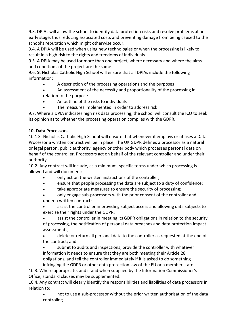9.3. DPIAs will allow the school to identify data protection risks and resolve problems at an early stage, thus reducing associated costs and preventing damage from being caused to the school's reputation which might otherwise occur.

9.4. A DPIA will be used when using new technologies or when the processing is likely to result in a high risk to the rights and freedoms of individuals.

9.5. A DPIA may be used for more than one project, where necessary and where the aims and conditions of the project are the same.

9.6. St Nicholas Catholic High School will ensure that all DPIAs include the following information:

- A description of the processing operations and the purposes
- An assessment of the necessity and proportionality of the processing in relation to the purpose
- An outline of the risks to individuals
- The measures implemented in order to address risk

9.7. Where a DPIA indicates high risk data processing, the school will consult the ICO to seek its opinion as to whether the processing operation complies with the GDPR.

# **10. Data Processors**

10.1 St Nicholas Catholic High School will ensure that whenever it employs or utilises a Data Processor a written contract will be in place. The UK GDPR defines a processor as a natural or legal person, public authority, agency or other body which processes personal data on behalf of the controller. Processors act on behalf of the relevant controller and under their authority.

10.2. Any contract will include, as a minimum, specific terms under which processing is allowed and will document:

- only act on the written instructions of the controller;
- ensure that people processing the data are subject to a duty of confidence;
- take appropriate measures to ensure the security of processing;
- only engage sub-processors with the prior consent of the controller and under a written contract;
- assist the controller in providing subject access and allowing data subjects to exercise their rights under the GDPR;

assist the controller in meeting its GDPR obligations in relation to the security of processing, the notification of personal data breaches and data protection impact assessments;

• delete or return all personal data to the controller as requested at the end of the contract; and

submit to audits and inspections, provide the controller with whatever information it needs to ensure that they are both meeting their Article 28 obligations, and tell the controller immediately if it is asked to do something infringing the GDPR or other data protection law of the EU or a member state.

10.3. Where appropriate, and if and when supplied by the Information Commissioner's Office, standard clauses may be supplemented.

10.4. Any contract will clearly identify the responsibilities and liabilities of data processors in relation to:

• not to use a sub-processor without the prior written authorisation of the data controller;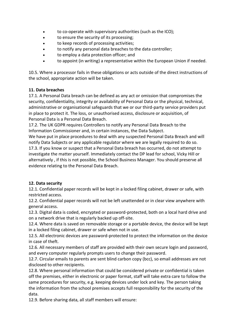- to co-operate with supervisory authorities (such as the ICO);
- to ensure the security of its processing;
- to keep records of processing activities;
- to notify any personal data breaches to the data controller;
- to employ a data protection officer; and
- to appoint (in writing) a representative within the European Union if needed.

10.5. Where a processor fails in these obligations or acts outside of the direct instructions of the school, appropriate action will be taken.

#### **11. Data breaches**

17.1. A Personal Data breach can be defined as any act or omission that compromises the security, confidentiality, integrity or availability of Personal Data or the physical, technical, administrative or organisational safeguards that we or our third-party service providers put in place to protect it. The loss, or unauthorised access, disclosure or acquisition, of Personal Data is a Personal Data Breach.

17.2. The UK GDPR requires Controllers to notify any Personal Data Breach to the Information Commissioner and, in certain instances, the Data Subject.

We have put in place procedures to deal with any suspected Personal Data Breach and will notify Data Subjects or any applicable regulator where we are legally required to do so. 17.3. If you know or suspect that a Personal Data breach has occurred, do not attempt to investigate the matter yourself. Immediately contact the DP lead for school, Vicky Hill or alternatively , if this is not possible, the School Business Manager. You should preserve all evidence relating to the Personal Data Breach.

# **12. Data security**

12.1. Confidential paper records will be kept in a locked filing cabinet, drawer or safe, with restricted access.

12.2. Confidential paper records will not be left unattended or in clear view anywhere with general access.

12.3. Digital data is coded, encrypted or password-protected, both on a local hard drive and on a network drive that is regularly backed up off-site.

12.4. Where data is saved on removable storage or a portable device, the device will be kept in a locked filing cabinet, drawer or safe when not in use.

12.5. All electronic devices are password-protected to protect the information on the device in case of theft.

12.6. All necessary members of staff are provided with their own secure login and password, and every computer regularly prompts users to change their password.

12.7. Circular emails to parents are sent blind carbon copy (bcc), so email addresses are not disclosed to other recipients.

12.8. Where personal information that could be considered private or confidential is taken off the premises, either in electronic or paper format, staff will take extra care to follow the same procedures for security, e.g. keeping devices under lock and key. The person taking the information from the school premises accepts full responsibility for the security of the data.

12.9. Before sharing data, all staff members will ensure: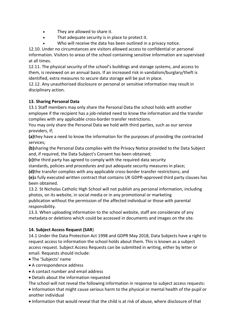- They are allowed to share it.
- That adequate security is in place to protect it.
- Who will receive the data has been outlined in a privacy notice.

12.10. Under no circumstances are visitors allowed access to confidential or personal information. Visitors to areas of the school containing sensitive information are supervised at all times.

12.11. The physical security of the school's buildings and storage systems, and access to them, is reviewed on an annual basis. If an increased risk in vandalism/burglary/theft is identified, extra measures to secure data storage will be put in place.

12.12. Any unauthorised disclosure or personal or sensitive information may result in disciplinary action.

# **13. Sharing Personal Data**

13.1 Staff members may only share the Personal Data the school holds with another employee if the recipient has a job-related need to know the information and the transfer complies with any applicable cross-border transfer restrictions.

You may only share the Personal Data we hold with third parties, such as our service providers, if;

**(a)**they have a need to know the information for the purposes of providing the contracted services;

**(b)**sharing the Personal Data complies with the Privacy Notice provided to the Data Subject and, if required, the Data Subject's Consent has been obtained;

**(c)**the third party has agreed to comply with the required data security

standards, policies and procedures and put adequate security measures in place;

**(d)**the transfer complies with any applicable cross-border transfer restrictions; and

**(e)**a fully executed written contract that contains UK GDPR-approved third party clauses has been obtained.

13.2. St Nicholas Catholic High School will not publish any personal information, including photos, on its website, in social media or in any promotional or marketing publication without the permission of the affected individual or those with parental responsibility.

13.3. When uploading information to the school website, staff are considerate of any metadata or deletions which could be accessed in documents and images on the site.

# **14. Subject Access Request (SAR**)

14.1 Under the Data Protection Act 1998 and GDPR May 2018, Data Subjects have a right to request access to information the school holds about them. This is known as a subject access request. Subject Access Requests can be submitted in writing, either by letter or email. Requests should include:

- The 'Subjects' name
- A correspondence address
- A contact number and email address
- Details about the information requested

The school will not reveal the following information in response to subject access requests:

• Information that might cause serious harm to the physical or mental health of the pupil or another individual

• Information that would reveal that the child is at risk of abuse, where disclosure of that